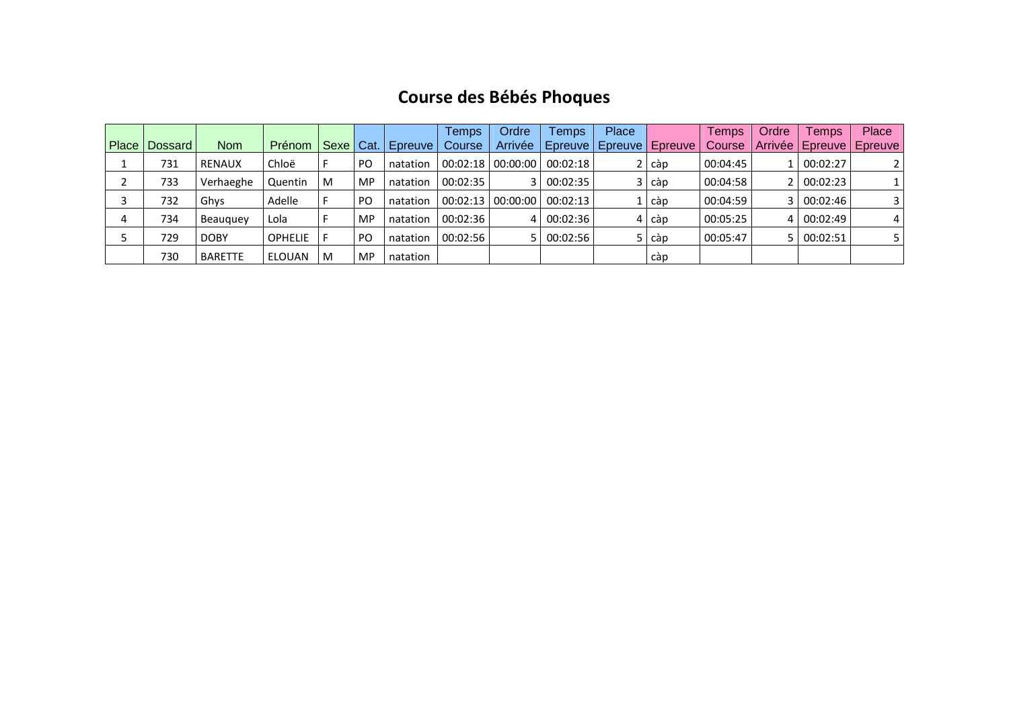#### **Course des Bébés Phoques**

|   |                 |                |                |             |           |          | Temps    | Ordre   | Temps                   | Place |                         | Temps    | Ordre | <b>Temps</b>                | Place |
|---|-----------------|----------------|----------------|-------------|-----------|----------|----------|---------|-------------------------|-------|-------------------------|----------|-------|-----------------------------|-------|
|   | Place   Dossard | <b>Nom</b>     | Prénom         | Sexe   Cat. |           | Epreuve  | Course   | Arrivée |                         |       | Epreuve Epreuve Epreuve | Course   |       | Arrivée   Epreuve   Epreuve |       |
|   | 731             | <b>RENAUX</b>  | Chloë          |             | <b>PO</b> | natation | 00:02:18 |         | $00:00:00$   $00:02:18$ |       | càp                     | 00:04:45 |       | 00:02:27                    |       |
|   | 733             | Verhaeghe      | Quentin        | M           | <b>MP</b> | natation | 00:02:35 |         | 3 00:02:35              |       | $3   \text{cap}$        | 00:04:58 |       | 2 00:02:23                  |       |
|   | 732             | Ghys           | Adelle         |             | PO        | natation | 00:02:13 |         | $00:00:00$   $00:02:13$ |       | càp                     | 00:04:59 |       | 3   00:02:46                | 3     |
| 4 | 734             | Beauguey       | Lola           |             | MP        | natation | 00:02:36 |         | 4 00:02:36              | 4 I   | càp                     | 00:05:25 | 4 I   | 00:02:49                    | 4     |
|   | 729             | <b>DOBY</b>    | <b>OPHELIE</b> |             | <b>PO</b> | natation | 00:02:56 |         | 5 00:02:56              |       | 5 càp                   | 00:05:47 | 5 I   | 00:02:51                    |       |
|   | 730             | <b>BARETTE</b> | ELOUAN         | M           | <b>MP</b> | natation |          |         |                         |       | càp                     |          |       |                             |       |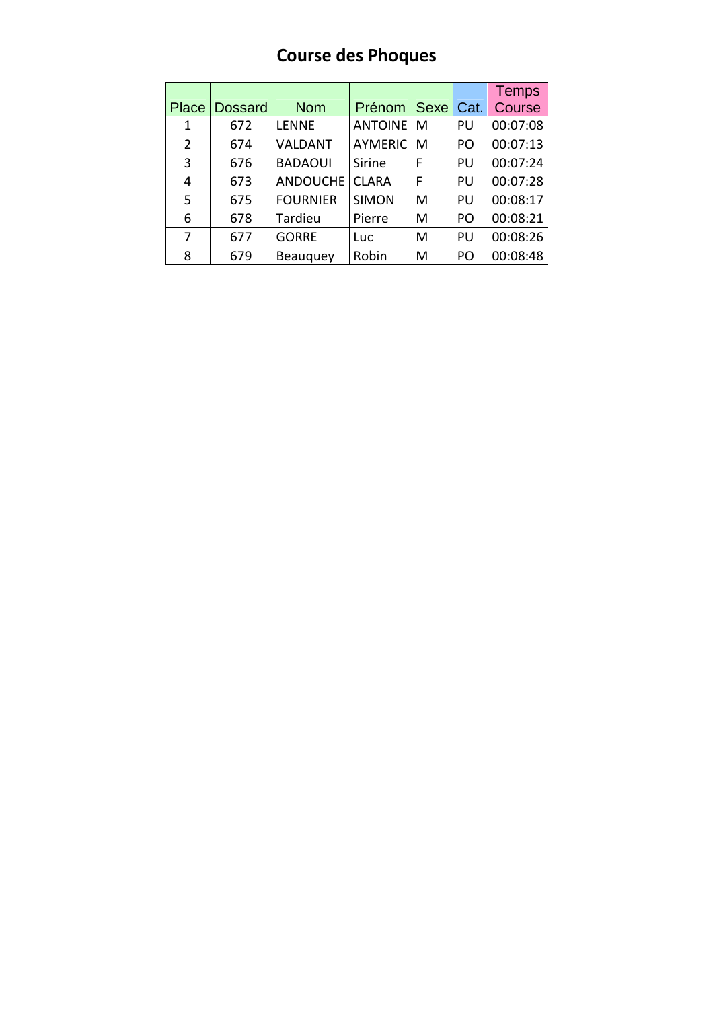#### **Course des Phoques**

|       |                |                 |                |             |      | <b>Temps</b> |
|-------|----------------|-----------------|----------------|-------------|------|--------------|
| Place | <b>Dossard</b> | <b>Nom</b>      | Prénom         | <b>Sexe</b> | Cat. | Course       |
| 1     | 672            | <b>LENNE</b>    | <b>ANTOINE</b> | M           | PU   | 00:07:08     |
| 2     | 674            | VALDANT         | <b>AYMERIC</b> | M           | PO   | 00:07:13     |
| 3     | 676            | <b>BADAOUI</b>  | Sirine         | F           | PU   | 00:07:24     |
| 4     | 673            | <b>ANDOUCHE</b> | <b>CLARA</b>   | F           | PU   | 00:07:28     |
| 5     | 675            | <b>FOURNIER</b> | <b>SIMON</b>   | M           | PU   | 00:08:17     |
| 6     | 678            | Tardieu         | Pierre         | M           | PO   | 00:08:21     |
| 7     | 677            | <b>GORRE</b>    | Luc            | M           | PU   | 00:08:26     |
| 8     | 679            | Beauguey        | Robin          | M           | PO   | 00:08:48     |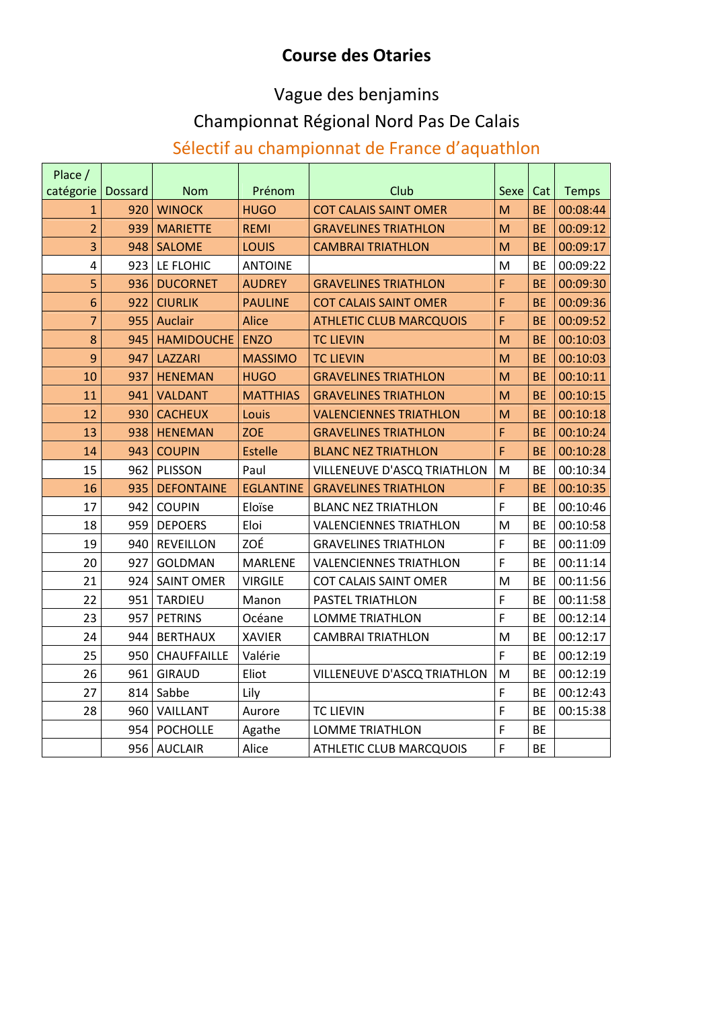#### **Course des Otaries**

#### Vague des benjamins

#### Championnat Régional Nord Pas De Calais

#### Sélectif au championnat de France d'aquathlon

| Place /        |                |                    |                  |                                |      |           |              |
|----------------|----------------|--------------------|------------------|--------------------------------|------|-----------|--------------|
| catégorie      | <b>Dossard</b> | <b>Nom</b>         | Prénom           | Club                           | Sexe | Cat       | <b>Temps</b> |
| $\mathbf{1}$   | 920            | <b>WINOCK</b>      | <b>HUGO</b>      | <b>COT CALAIS SAINT OMER</b>   | M    | <b>BE</b> | 00:08:44     |
| $\overline{2}$ | 939            | <b>MARIETTE</b>    | <b>REMI</b>      | <b>GRAVELINES TRIATHLON</b>    | M    | <b>BE</b> | 00:09:12     |
| 3              | 948            | <b>SALOME</b>      | LOUIS            | <b>CAMBRAI TRIATHLON</b>       | M    | <b>BE</b> | 00:09:17     |
| $\overline{4}$ | 923            | LE FLOHIC          | <b>ANTOINE</b>   |                                | M    | <b>BE</b> | 00:09:22     |
| 5              | 936            | <b>DUCORNET</b>    | <b>AUDREY</b>    | <b>GRAVELINES TRIATHLON</b>    | F    | <b>BE</b> | 00:09:30     |
| 6              | 922            | <b>CIURLIK</b>     | <b>PAULINE</b>   | <b>COT CALAIS SAINT OMER</b>   | F    | <b>BE</b> | 00:09:36     |
| $\overline{7}$ | 955            | Auclair            | <b>Alice</b>     | <b>ATHLETIC CLUB MARCQUOIS</b> | F    | <b>BE</b> | 00:09:52     |
| 8              | 945            | <b>HAMIDOUCHE</b>  | <b>ENZO</b>      | <b>TC LIEVIN</b>               | M    | <b>BE</b> | 00:10:03     |
| 9              | 947            | <b>LAZZARI</b>     | <b>MASSIMO</b>   | <b>TC LIEVIN</b>               | M    | <b>BE</b> | 00:10:03     |
| 10             | 937            | <b>HENEMAN</b>     | <b>HUGO</b>      | <b>GRAVELINES TRIATHLON</b>    | M    | <b>BE</b> | 00:10:11     |
| 11             | 941            | <b>VALDANT</b>     | <b>MATTHIAS</b>  | <b>GRAVELINES TRIATHLON</b>    | M    | <b>BE</b> | 00:10:15     |
| 12             | 930            | <b>CACHEUX</b>     | Louis            | <b>VALENCIENNES TRIATHLON</b>  | M    | <b>BE</b> | 00:10:18     |
| 13             | 938            | <b>HENEMAN</b>     | <b>ZOE</b>       | <b>GRAVELINES TRIATHLON</b>    | F    | <b>BE</b> | 00:10:24     |
| 14             | 943            | <b>COUPIN</b>      | <b>Estelle</b>   | <b>BLANC NEZ TRIATHLON</b>     | F    | <b>BE</b> | 00:10:28     |
| 15             | 962            | PLISSON            | Paul             | VILLENEUVE D'ASCQ TRIATHLON    | M    | <b>BE</b> | 00:10:34     |
| 16             | 935            | <b>DEFONTAINE</b>  | <b>EGLANTINE</b> | <b>GRAVELINES TRIATHLON</b>    | F    | <b>BE</b> | 00:10:35     |
| 17             | 942            | <b>COUPIN</b>      | Eloïse           | <b>BLANC NEZ TRIATHLON</b>     | F    | <b>BE</b> | 00:10:46     |
| 18             | 959            | <b>DEPOERS</b>     | Eloi             | <b>VALENCIENNES TRIATHLON</b>  | M    | <b>BE</b> | 00:10:58     |
| 19             | 940            | <b>REVEILLON</b>   | ZOÉ              | <b>GRAVELINES TRIATHLON</b>    | F    | <b>BE</b> | 00:11:09     |
| 20             | 927            | <b>GOLDMAN</b>     | <b>MARLENE</b>   | <b>VALENCIENNES TRIATHLON</b>  | F    | <b>BE</b> | 00:11:14     |
| 21             | 924            | <b>SAINT OMER</b>  | <b>VIRGILE</b>   | <b>COT CALAIS SAINT OMER</b>   | M    | <b>BE</b> | 00:11:56     |
| 22             | 951            | <b>TARDIEU</b>     | Manon            | <b>PASTEL TRIATHLON</b>        | F    | <b>BE</b> | 00:11:58     |
| 23             | 957            | <b>PETRINS</b>     | Océane           | <b>LOMME TRIATHLON</b>         | F    | <b>BE</b> | 00:12:14     |
| 24             | 944            | <b>BERTHAUX</b>    | <b>XAVIER</b>    | <b>CAMBRAI TRIATHLON</b>       | M    | <b>BE</b> | 00:12:17     |
| 25             | 950            | <b>CHAUFFAILLE</b> | Valérie          |                                | F    | <b>BE</b> | 00:12:19     |
| 26             | 961            | <b>GIRAUD</b>      | Eliot            | VILLENEUVE D'ASCQ TRIATHLON    | M    | <b>BE</b> | 00:12:19     |
| 27             | 814            | Sabbe              | Lily             |                                | F    | <b>BE</b> | 00:12:43     |
| 28             | 960            | VAILLANT           | Aurore           | <b>TC LIEVIN</b>               | F    | <b>BE</b> | 00:15:38     |
|                | 954            | <b>POCHOLLE</b>    | Agathe           | <b>LOMME TRIATHLON</b>         | F    | <b>BE</b> |              |
|                | 956            | <b>AUCLAIR</b>     | Alice            | <b>ATHLETIC CLUB MARCQUOIS</b> | F    | <b>BE</b> |              |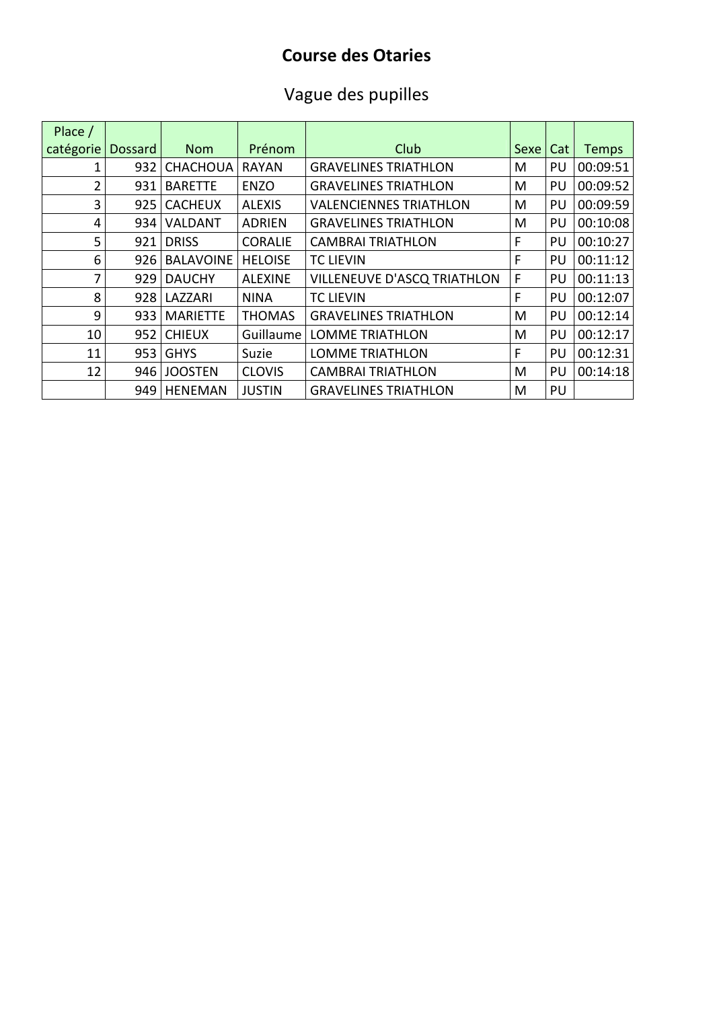## **Course des Otaries**

## Vague des pupilles

| Place /   |                |                  |                |                                    |             |     |              |
|-----------|----------------|------------------|----------------|------------------------------------|-------------|-----|--------------|
| catégorie | <b>Dossard</b> | <b>Nom</b>       | Prénom         | Club                               | <b>Sexe</b> | Cat | <b>Temps</b> |
| 1         | 932            | <b>CHACHOUA</b>  | <b>RAYAN</b>   | <b>GRAVELINES TRIATHLON</b>        | M           | PU  | 00:09:51     |
| 2         | 931            | <b>BARETTE</b>   | <b>ENZO</b>    | <b>GRAVELINES TRIATHLON</b>        | М           | PU  | 00:09:52     |
| 3         | 925            | <b>CACHEUX</b>   | <b>ALEXIS</b>  | <b>VALENCIENNES TRIATHLON</b>      | M           | PU  | 00:09:59     |
| 4         | 934            | <b>VALDANT</b>   | <b>ADRIEN</b>  | <b>GRAVELINES TRIATHLON</b>        | М           | PU  | 00:10:08     |
| 5         | 921            | <b>DRISS</b>     | <b>CORALIE</b> | <b>CAMBRAI TRIATHLON</b>           | F           | PU  | 00:10:27     |
| 6         | 926            | <b>BALAVOINE</b> | <b>HELOISE</b> | <b>TC LIEVIN</b>                   | F           | PU  | 00:11:12     |
| 7         | 929            | <b>DAUCHY</b>    | <b>ALEXINE</b> | <b>VILLENEUVE D'ASCQ TRIATHLON</b> | F           | PU  | 00:11:13     |
| 8         | 928            | LAZZARI          | <b>NINA</b>    | <b>TC LIEVIN</b>                   | F           | PU  | 00:12:07     |
| 9         | 933            | <b>MARIETTE</b>  | <b>THOMAS</b>  | <b>GRAVELINES TRIATHLON</b>        | М           | PU  | 00:12:14     |
| 10        | 952            | <b>CHIEUX</b>    | Guillaume      | <b>LOMME TRIATHLON</b>             | М           | PU  | 00:12:17     |
| 11        | 953            | <b>GHYS</b>      | Suzie          | <b>LOMME TRIATHLON</b>             | F           | PU  | 00:12:31     |
| 12        | 946            | <b>JOOSTEN</b>   | <b>CLOVIS</b>  | <b>CAMBRAI TRIATHLON</b>           | M           | PU  | 00:14:18     |
|           | 949            | <b>HENEMAN</b>   | <b>JUSTIN</b>  | <b>GRAVELINES TRIATHLON</b>        | М           | PU  |              |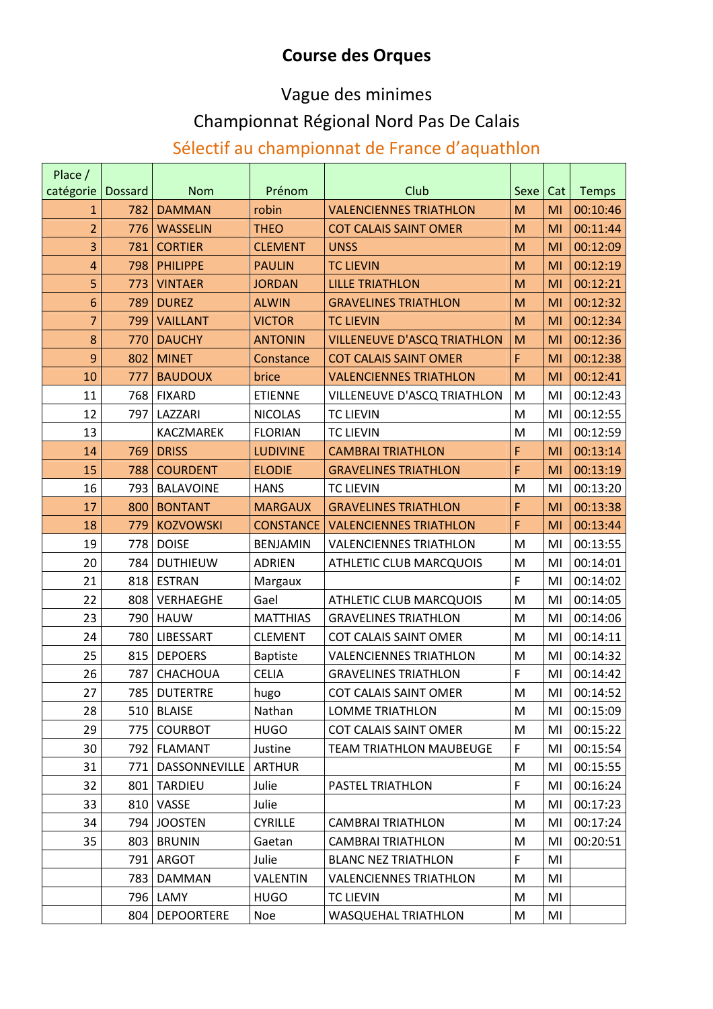#### **Course des Orques**

#### Vague des minimes

#### Championnat Régional Nord Pas De Calais

#### Sélectif au championnat de France d'aquathlon

| Place /        |                |                   |                  |                                    |              |     |              |
|----------------|----------------|-------------------|------------------|------------------------------------|--------------|-----|--------------|
| catégorie      | <b>Dossard</b> | <b>Nom</b>        | Prénom           | Club                               | Sexe         | Cat | <b>Temps</b> |
| 1              | 782            | <b>DAMMAN</b>     | robin            | <b>VALENCIENNES TRIATHLON</b>      | M            | MI  | 00:10:46     |
| $\overline{2}$ | 776            | <b>WASSELIN</b>   | <b>THEO</b>      | <b>COT CALAIS SAINT OMER</b>       | M            | MI  | 00:11:44     |
| 3              | 781            | <b>CORTIER</b>    | <b>CLEMENT</b>   | <b>UNSS</b>                        | M            | MI  | 00:12:09     |
| 4              | 798            | <b>PHILIPPE</b>   | <b>PAULIN</b>    | <b>TC LIEVIN</b>                   | M            | MI  | 00:12:19     |
| 5              | 773            | <b>VINTAER</b>    | <b>JORDAN</b>    | <b>LILLE TRIATHLON</b>             | M            | MI  | 00:12:21     |
| 6              | 789            | <b>DUREZ</b>      | <b>ALWIN</b>     | <b>GRAVELINES TRIATHLON</b>        | M            | MI  | 00:12:32     |
| 7              | 799            | <b>VAILLANT</b>   | <b>VICTOR</b>    | <b>TC LIEVIN</b>                   | M            | MI  | 00:12:34     |
| 8              | 770            | <b>DAUCHY</b>     | <b>ANTONIN</b>   | <b>VILLENEUVE D'ASCQ TRIATHLON</b> | M            | MI  | 00:12:36     |
| 9              | 802            | <b>MINET</b>      | Constance        | <b>COT CALAIS SAINT OMER</b>       | F            | MI  | 00:12:38     |
| 10             | 777            | <b>BAUDOUX</b>    | brice            | <b>VALENCIENNES TRIATHLON</b>      | M            | MI  | 00:12:41     |
| 11             | 768            | <b>FIXARD</b>     | <b>ETIENNE</b>   | VILLENEUVE D'ASCQ TRIATHLON        | M            | MI  | 00:12:43     |
| 12             | 797            | LAZZARI           | <b>NICOLAS</b>   | <b>TC LIEVIN</b>                   | M            | MI  | 00:12:55     |
| 13             |                | KACZMAREK         | <b>FLORIAN</b>   | <b>TC LIEVIN</b>                   | M            | MI  | 00:12:59     |
| 14             | 769            | <b>DRISS</b>      | <b>LUDIVINE</b>  | <b>CAMBRAI TRIATHLON</b>           | F            | MI  | 00:13:14     |
| 15             | 788            | <b>COURDENT</b>   | <b>ELODIE</b>    | <b>GRAVELINES TRIATHLON</b>        | F            | MI  | 00:13:19     |
| 16             | 793            | <b>BALAVOINE</b>  | <b>HANS</b>      | <b>TC LIEVIN</b>                   | M            | MI  | 00:13:20     |
| 17             | 800            | <b>BONTANT</b>    | <b>MARGAUX</b>   | <b>GRAVELINES TRIATHLON</b>        | F            | MI  | 00:13:38     |
| 18             | 779            | <b>KOZVOWSKI</b>  | <b>CONSTANCE</b> | <b>VALENCIENNES TRIATHLON</b>      | F            | MI  | 00:13:44     |
| 19             | 778            | <b>DOISE</b>      | <b>BENJAMIN</b>  | <b>VALENCIENNES TRIATHLON</b>      | M            | MI  | 00:13:55     |
| 20             | 784            | <b>DUTHIEUW</b>   | <b>ADRIEN</b>    | <b>ATHLETIC CLUB MARCQUOIS</b>     | M            | MI  | 00:14:01     |
| 21             | 818            | <b>ESTRAN</b>     | Margaux          |                                    | $\mathsf F$  | MI  | 00:14:02     |
| 22             | 808            | <b>VERHAEGHE</b>  | Gael             | <b>ATHLETIC CLUB MARCQUOIS</b>     | M            | MI  | 00:14:05     |
| 23             | 790            | <b>HAUW</b>       | <b>MATTHIAS</b>  | <b>GRAVELINES TRIATHLON</b>        | M            | MI  | 00:14:06     |
| 24             | 780            | LIBESSART         | <b>CLEMENT</b>   | <b>COT CALAIS SAINT OMER</b>       | M            | MI  | 00:14:11     |
| 25             | 815            | <b>DEPOERS</b>    | <b>Baptiste</b>  | <b>VALENCIENNES TRIATHLON</b>      | M            | MI  | 00:14:32     |
| 26             | 787            | CHACHOUA          | <b>CELIA</b>     | <b>GRAVELINES TRIATHLON</b>        | $\mathsf{F}$ | MI  | 00:14:42     |
| 27             | 785            | <b>DUTERTRE</b>   | hugo             | <b>COT CALAIS SAINT OMER</b>       | M            | MI  | 00:14:52     |
| 28             | 510            | <b>BLAISE</b>     | Nathan           | <b>LOMME TRIATHLON</b>             | M            | MI  | 00:15:09     |
| 29             | 775            | <b>COURBOT</b>    | <b>HUGO</b>      | COT CALAIS SAINT OMER              | M            | MI  | 00:15:22     |
| 30             | 792            | <b>FLAMANT</b>    | Justine          | <b>TEAM TRIATHLON MAUBEUGE</b>     | $\mathsf F$  | MI  | 00:15:54     |
| 31             | 771            | DASSONNEVILLE     | <b>ARTHUR</b>    |                                    | M            | MI  | 00:15:55     |
| 32             | 801            | <b>TARDIEU</b>    | Julie            | PASTEL TRIATHLON                   | $\mathsf F$  | MI  | 00:16:24     |
| 33             | 810            | VASSE             | Julie            |                                    | M            | MI  | 00:17:23     |
| 34             | 794            | <b>JOOSTEN</b>    | <b>CYRILLE</b>   | <b>CAMBRAI TRIATHLON</b>           | M            | MI  | 00:17:24     |
| 35             | 803            | <b>BRUNIN</b>     | Gaetan           | <b>CAMBRAI TRIATHLON</b>           | M            | MI  | 00:20:51     |
|                | 791            | <b>ARGOT</b>      | Julie            | <b>BLANC NEZ TRIATHLON</b>         | $\mathsf F$  | MI  |              |
|                | 783            | <b>DAMMAN</b>     | <b>VALENTIN</b>  | <b>VALENCIENNES TRIATHLON</b>      | M            | MI  |              |
|                | 796            | LAMY              | <b>HUGO</b>      | <b>TC LIEVIN</b>                   | M            | MI  |              |
|                | 804            | <b>DEPOORTERE</b> | Noe              | <b>WASQUEHAL TRIATHLON</b>         | M            | MI  |              |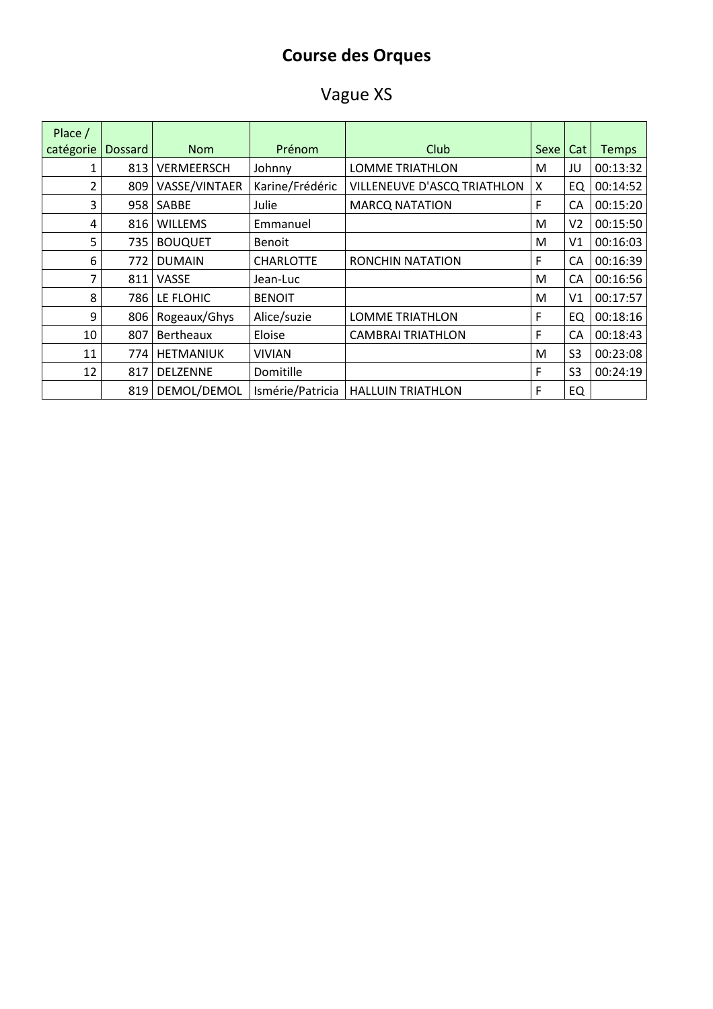#### **Course des Orques**

### Vague XS

| Place /   |                |                   |                  |                             |      |                |              |
|-----------|----------------|-------------------|------------------|-----------------------------|------|----------------|--------------|
| catégorie | <b>Dossard</b> | <b>Nom</b>        | Prénom           | Club                        | Sexe | Cat            | <b>Temps</b> |
| 1         | 813            | <b>VERMEERSCH</b> | Johnny           | <b>LOMME TRIATHLON</b>      | M    | JU             | 00:13:32     |
| 2         | 809            | VASSE/VINTAER     | Karine/Frédéric  | VILLENEUVE D'ASCQ TRIATHLON | X    | EQ             | 00:14:52     |
| 3         | 958            | SABBE             | Julie            | <b>MARCQ NATATION</b>       | F    | CA             | 00:15:20     |
| 4         | 816            | <b>WILLEMS</b>    | Emmanuel         |                             | M    | V <sub>2</sub> | 00:15:50     |
| 5         | 735            | <b>BOUQUET</b>    | <b>Benoit</b>    |                             | M    | V <sub>1</sub> | 00:16:03     |
| 6         | 772            | <b>DUMAIN</b>     | <b>CHARLOTTE</b> | <b>RONCHIN NATATION</b>     | F    | <b>CA</b>      | 00:16:39     |
| 7         | 811            | VASSE             | Jean-Luc         |                             | M    | <b>CA</b>      | 00:16:56     |
| 8         | 786            | LE FLOHIC         | <b>BENOIT</b>    |                             | M    | V <sub>1</sub> | 00:17:57     |
| 9         | 806            | Rogeaux/Ghys      | Alice/suzie      | <b>LOMME TRIATHLON</b>      | F    | EQ             | 00:18:16     |
| 10        | 807            | Bertheaux         | Eloise           | <b>CAMBRAI TRIATHLON</b>    | F    | CA             | 00:18:43     |
| 11        | 774            | <b>HETMANIUK</b>  | VIVIAN           |                             | M    | S <sub>3</sub> | 00:23:08     |
| 12        | 817            | <b>DELZENNE</b>   | Domitille        |                             | F    | S <sub>3</sub> | 00:24:19     |
|           | 819            | DEMOL/DEMOL       | Ismérie/Patricia | <b>HALLUIN TRIATHLON</b>    | F    | EQ             |              |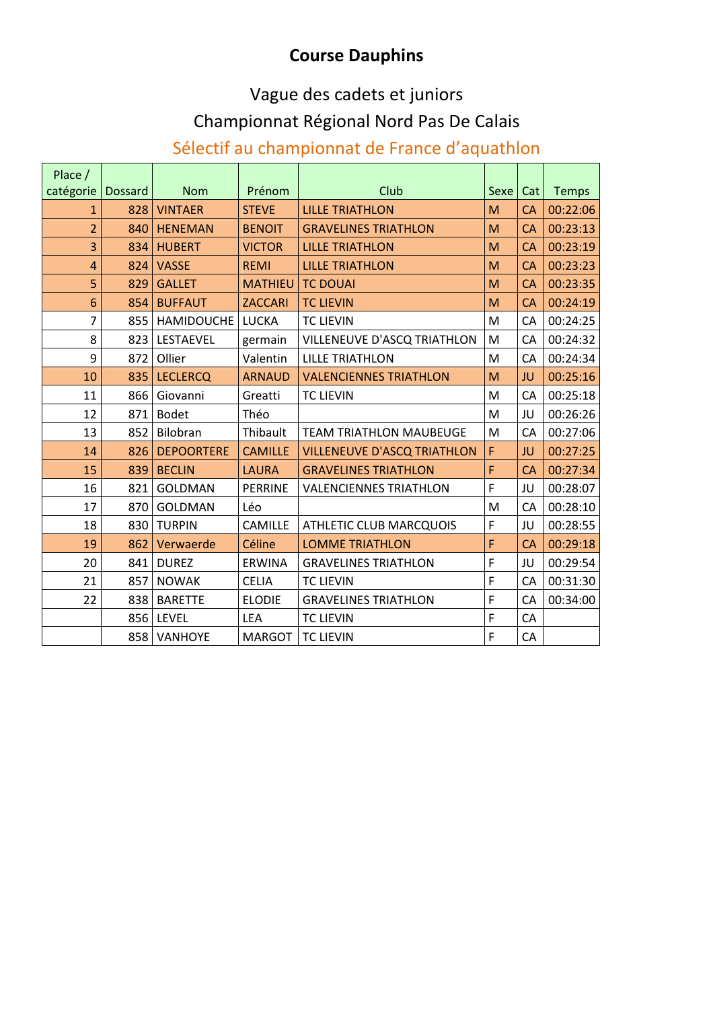#### **Course Dauphins**

# Vague des cadets et juniors

#### Championnat Régional Nord Pas De Calais

#### Sélectif au championnat de France d'aquathlon

| Place /        |                |                   |                |                                    |              |           |              |
|----------------|----------------|-------------------|----------------|------------------------------------|--------------|-----------|--------------|
| catégorie      | <b>Dossard</b> | <b>Nom</b>        | Prénom         | Club                               | Sexe         | Cat       | <b>Temps</b> |
| 1              | 828            | <b>VINTAER</b>    | <b>STEVE</b>   | <b>LILLE TRIATHLON</b>             | M            | CA        | 00:22:06     |
| $\overline{2}$ | 840            | <b>HENEMAN</b>    | <b>BENOIT</b>  | <b>GRAVELINES TRIATHLON</b>        | M            | CA        | 00:23:13     |
| 3              | 834            | <b>HUBERT</b>     | <b>VICTOR</b>  | <b>LILLE TRIATHLON</b>             | M            | CA        | 00:23:19     |
| $\overline{4}$ | 824            | <b>VASSE</b>      | <b>REMI</b>    | <b>LILLE TRIATHLON</b>             | M            | <b>CA</b> | 00:23:23     |
| 5              | 829            | <b>GALLET</b>     | <b>MATHIEU</b> | <b>TC DOUAI</b>                    | M            | <b>CA</b> | 00:23:35     |
| 6              | 854            | <b>BUFFAUT</b>    | <b>ZACCARI</b> | <b>TC LIEVIN</b>                   | M            | <b>CA</b> | 00:24:19     |
| 7              | 855            | <b>HAMIDOUCHE</b> | <b>LUCKA</b>   | <b>TC LIEVIN</b>                   | M            | CA        | 00:24:25     |
| 8              | 823            | LESTAEVEL         | germain        | VILLENEUVE D'ASCQ TRIATHLON        | M            | CA        | 00:24:32     |
| 9              | 872            | Ollier            | Valentin       | <b>LILLE TRIATHLON</b>             | M            | CA        | 00:24:34     |
| 10             | 835            | <b>LECLERCQ</b>   | <b>ARNAUD</b>  | <b>VALENCIENNES TRIATHLON</b>      | M            | JU        | 00:25:16     |
| 11             | 866            | Giovanni          | Greatti        | <b>TC LIEVIN</b>                   | M            | CA        | 00:25:18     |
| 12             | 871            | <b>Bodet</b>      | Théo           |                                    | M            | JU        | 00:26:26     |
| 13             | 852            | Bilobran          | Thibault       | <b>TEAM TRIATHLON MAUBEUGE</b>     | M            | CA        | 00:27:06     |
| 14             | 826            | <b>DEPOORTERE</b> | <b>CAMILLE</b> | <b>VILLENEUVE D'ASCQ TRIATHLON</b> | F            | JU        | 00:27:25     |
| 15             | 839            | <b>BECLIN</b>     | <b>LAURA</b>   | <b>GRAVELINES TRIATHLON</b>        | F            | <b>CA</b> | 00:27:34     |
| 16             | 821            | <b>GOLDMAN</b>    | PERRINE        | <b>VALENCIENNES TRIATHLON</b>      | F            | JU        | 00:28:07     |
| 17             | 870            | <b>GOLDMAN</b>    | Léo            |                                    | M            | CA        | 00:28:10     |
| 18             | 830            | <b>TURPIN</b>     | <b>CAMILLE</b> | <b>ATHLETIC CLUB MARCQUOIS</b>     | F            | JU        | 00:28:55     |
| 19             | 862            | Verwaerde         | Céline         | <b>LOMME TRIATHLON</b>             | F            | <b>CA</b> | 00:29:18     |
| 20             | 841            | <b>DUREZ</b>      | <b>ERWINA</b>  | <b>GRAVELINES TRIATHLON</b>        | F            | JU        | 00:29:54     |
| 21             | 857            | <b>NOWAK</b>      | <b>CELIA</b>   | <b>TC LIEVIN</b>                   | F            | CA        | 00:31:30     |
| 22             | 838            | <b>BARETTE</b>    | <b>ELODIE</b>  | <b>GRAVELINES TRIATHLON</b>        | $\mathsf F$  | CA        | 00:34:00     |
|                | 856            | LEVEL             | LEA            | <b>TC LIEVIN</b>                   | $\mathsf{F}$ | CA        |              |
|                | 858            | VANHOYE           | <b>MARGOT</b>  | <b>TC LIEVIN</b>                   | F            | CA        |              |